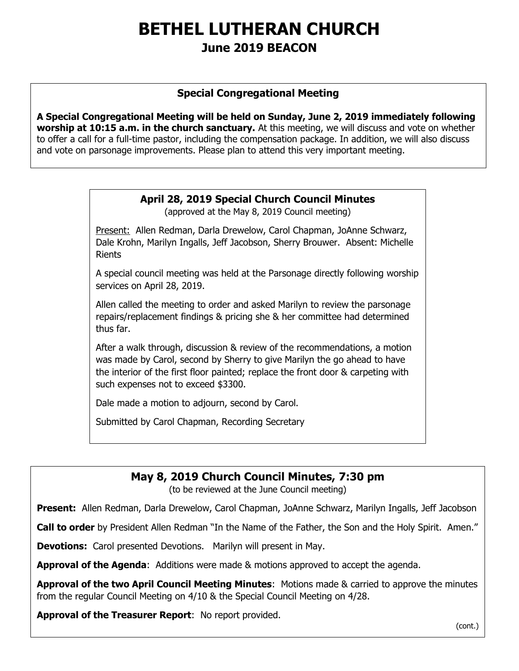# **BETHEL LUTHERAN CHURCH June 2019 BEACON**

### **Special Congregational Meeting**

**A Special Congregational Meeting will be held on Sunday, June 2, 2019 immediately following worship at 10:15 a.m. in the church sanctuary.** At this meeting, we will discuss and vote on whether to offer a call for a full-time pastor, including the compensation package. In addition, we will also discuss and vote on parsonage improvements. Please plan to attend this very important meeting.

#### **April 28, 2019 Special Church Council Minutes**

(approved at the May 8, 2019 Council meeting)

Present: Allen Redman, Darla Drewelow, Carol Chapman, JoAnne Schwarz, Dale Krohn, Marilyn Ingalls, Jeff Jacobson, Sherry Brouwer. Absent: Michelle Rients

A special council meeting was held at the Parsonage directly following worship services on April 28, 2019.

Allen called the meeting to order and asked Marilyn to review the parsonage repairs/replacement findings & pricing she & her committee had determined thus far.

After a walk through, discussion & review of the recommendations, a motion was made by Carol, second by Sherry to give Marilyn the go ahead to have the interior of the first floor painted; replace the front door & carpeting with such expenses not to exceed \$3300.

Dale made a motion to adjourn, second by Carol.

Submitted by Carol Chapman, Recording Secretary

## **May 8, 2019 Church Council Minutes, 7:30 pm**

(to be reviewed at the June Council meeting)

**Present:** Allen Redman, Darla Drewelow, Carol Chapman, JoAnne Schwarz, Marilyn Ingalls, Jeff Jacobson

**Call to order** by President Allen Redman "In the Name of the Father, the Son and the Holy Spirit. Amen."

**Devotions:** Carol presented Devotions. Marilyn will present in May.

**Approval of the Agenda**: Additions were made & motions approved to accept the agenda.

**Approval of the two April Council Meeting Minutes**: Motions made & carried to approve the minutes from the regular Council Meeting on 4/10 & the Special Council Meeting on 4/28.

**Approval of the Treasurer Report**: No report provided.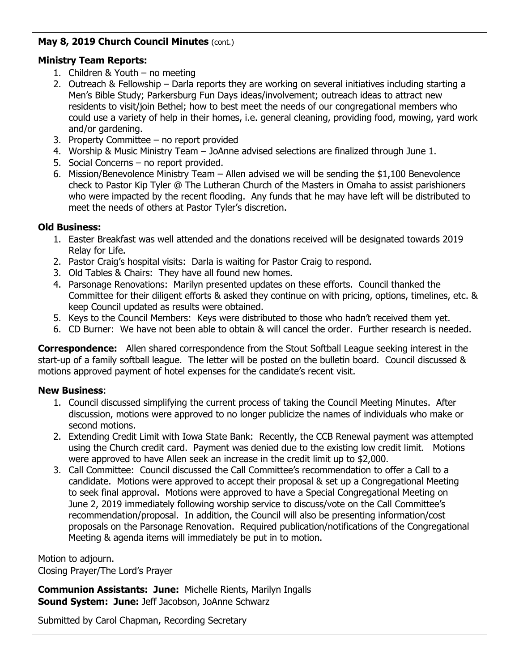#### **May 8, 2019 Church Council Minutes** (cont.)

#### **Ministry Team Reports:**

- 1. Children & Youth no meeting
- 2. Outreach & Fellowship Darla reports they are working on several initiatives including starting a Men's Bible Study; Parkersburg Fun Days ideas/involvement; outreach ideas to attract new residents to visit/join Bethel; how to best meet the needs of our congregational members who could use a variety of help in their homes, i.e. general cleaning, providing food, mowing, yard work and/or gardening.
- 3. Property Committee no report provided
- 4. Worship & Music Ministry Team JoAnne advised selections are finalized through June 1.
- 5. Social Concerns no report provided.
- 6. Mission/Benevolence Ministry Team Allen advised we will be sending the \$1,100 Benevolence check to Pastor Kip Tyler @ The Lutheran Church of the Masters in Omaha to assist parishioners who were impacted by the recent flooding. Any funds that he may have left will be distributed to meet the needs of others at Pastor Tyler's discretion.

#### **Old Business:**

- 1. Easter Breakfast was well attended and the donations received will be designated towards 2019 Relay for Life.
- 2. Pastor Craig's hospital visits: Darla is waiting for Pastor Craig to respond.
- 3. Old Tables & Chairs: They have all found new homes.
- 4. Parsonage Renovations: Marilyn presented updates on these efforts. Council thanked the Committee for their diligent efforts & asked they continue on with pricing, options, timelines, etc. & keep Council updated as results were obtained.
- 5. Keys to the Council Members: Keys were distributed to those who hadn't received them yet.
- 6. CD Burner: We have not been able to obtain & will cancel the order. Further research is needed.

**Correspondence:** Allen shared correspondence from the Stout Softball League seeking interest in the start-up of a family softball league. The letter will be posted on the bulletin board. Council discussed & motions approved payment of hotel expenses for the candidate's recent visit.

#### **New Business**:

- 1. Council discussed simplifying the current process of taking the Council Meeting Minutes. After discussion, motions were approved to no longer publicize the names of individuals who make or second motions.
- 2. Extending Credit Limit with Iowa State Bank: Recently, the CCB Renewal payment was attempted using the Church credit card. Payment was denied due to the existing low credit limit. Motions were approved to have Allen seek an increase in the credit limit up to \$2,000.
- 3. Call Committee: Council discussed the Call Committee's recommendation to offer a Call to a candidate. Motions were approved to accept their proposal & set up a Congregational Meeting to seek final approval. Motions were approved to have a Special Congregational Meeting on June 2, 2019 immediately following worship service to discuss/vote on the Call Committee's recommendation/proposal. In addition, the Council will also be presenting information/cost proposals on the Parsonage Renovation. Required publication/notifications of the Congregational Meeting & agenda items will immediately be put in to motion.

Motion to adjourn. Closing Prayer/The Lord's Prayer

**Communion Assistants: June:** Michelle Rients, Marilyn Ingalls **Sound System: June:** Jeff Jacobson, JoAnne Schwarz

Submitted by Carol Chapman, Recording Secretary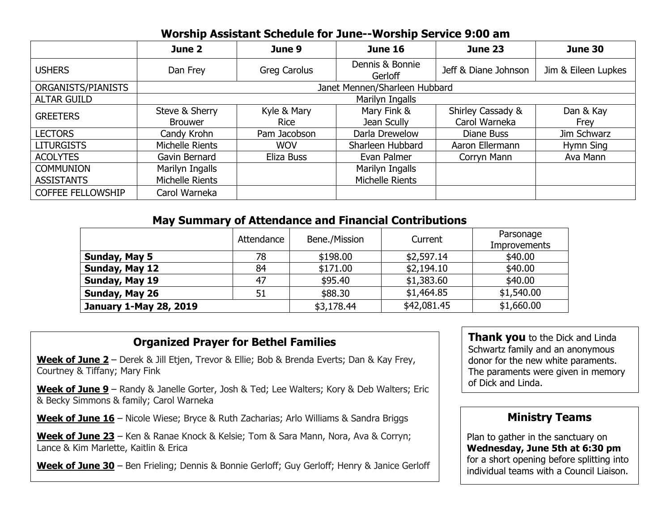## **Worship Assistant Schedule for June--Worship Service 9:00 am**

|                          | June 2                        | June 9       | June 16                    | June 23              | <b>June 30</b>      |  |  |  |
|--------------------------|-------------------------------|--------------|----------------------------|----------------------|---------------------|--|--|--|
| <b>USHERS</b>            | Dan Frey                      | Greg Carolus | Dennis & Bonnie<br>Gerloff | Jeff & Diane Johnson | Jim & Eileen Lupkes |  |  |  |
| ORGANISTS/PIANISTS       | Janet Mennen/Sharleen Hubbard |              |                            |                      |                     |  |  |  |
| <b>ALTAR GUILD</b>       | Marilyn Ingalls               |              |                            |                      |                     |  |  |  |
| <b>GREETERS</b>          | Steve & Sherry                | Kyle & Mary  | Mary Fink &                | Shirley Cassady &    | Dan & Kay           |  |  |  |
|                          | <b>Brouwer</b>                | <b>Rice</b>  | Jean Scully                | Carol Warneka        | Frey                |  |  |  |
| <b>LECTORS</b>           | Candy Krohn                   | Pam Jacobson | Darla Drewelow             | Diane Buss           | Jim Schwarz         |  |  |  |
| <b>LITURGISTS</b>        | Michelle Rients               | <b>WOV</b>   | Sharleen Hubbard           | Aaron Ellermann      | Hymn Sing           |  |  |  |
| <b>ACOLYTES</b>          | Gavin Bernard                 | Eliza Buss   | Evan Palmer                | Corryn Mann          | Ava Mann            |  |  |  |
| <b>COMMUNION</b>         | Marilyn Ingalls               |              | Marilyn Ingalls            |                      |                     |  |  |  |
| <b>ASSISTANTS</b>        | Michelle Rients               |              | Michelle Rients            |                      |                     |  |  |  |
| <b>COFFEE FELLOWSHIP</b> | Carol Warneka                 |              |                            |                      |                     |  |  |  |

### **May Summary of Attendance and Financial Contributions**

|                               | Attendance | Bene./Mission | Current     | Parsonage<br><b>Improvements</b> |
|-------------------------------|------------|---------------|-------------|----------------------------------|
| Sunday, May 5                 | 78         | \$198.00      | \$2,597.14  | \$40.00                          |
| Sunday, May 12                | 84         | \$171.00      | \$2,194.10  | \$40.00                          |
| 47<br>Sunday, May 19          |            | \$95.40       | \$1,383.60  | \$40.00                          |
| 51<br>Sunday, May 26          |            | \$88.30       | \$1,464.85  | \$1,540.00                       |
| <b>January 1-May 28, 2019</b> |            | \$3,178.44    | \$42,081.45 | \$1,660.00                       |

# **Organized Prayer for Bethel Families**

**Week of June 2** – Derek & Jill Etjen, Trevor & Ellie; Bob & Brenda Everts; Dan & Kay Frey, Courtney & Tiffany; Mary Fink

**Week of June 9** – Randy & Janelle Gorter, Josh & Ted; Lee Walters; Kory & Deb Walters; Eric & Becky Simmons & family; Carol Warneka

**Week of June 16** – Nicole Wiese; Bryce & Ruth Zacharias; Arlo Williams & Sandra Briggs

**Week of June 23** – Ken & Ranae Knock & Kelsie; Tom & Sara Mann, Nora, Ava & Corryn; Lance & Kim Marlette, Kaitlin & Erica

**Week of June 30** – Ben Frieling; Dennis & Bonnie Gerloff; Guy Gerloff; Henry & Janice Gerloff

**Thank you** to the Dick and Linda Schwartz family and an anonymous donor for the new white paraments. The paraments were given in memory of Dick and Linda.

### **Ministry Teams**

Plan to gather in the sanctuary on **Wednesday, June 5th at 6:30 pm** for a short opening before splitting into individual teams with a Council Liaison.